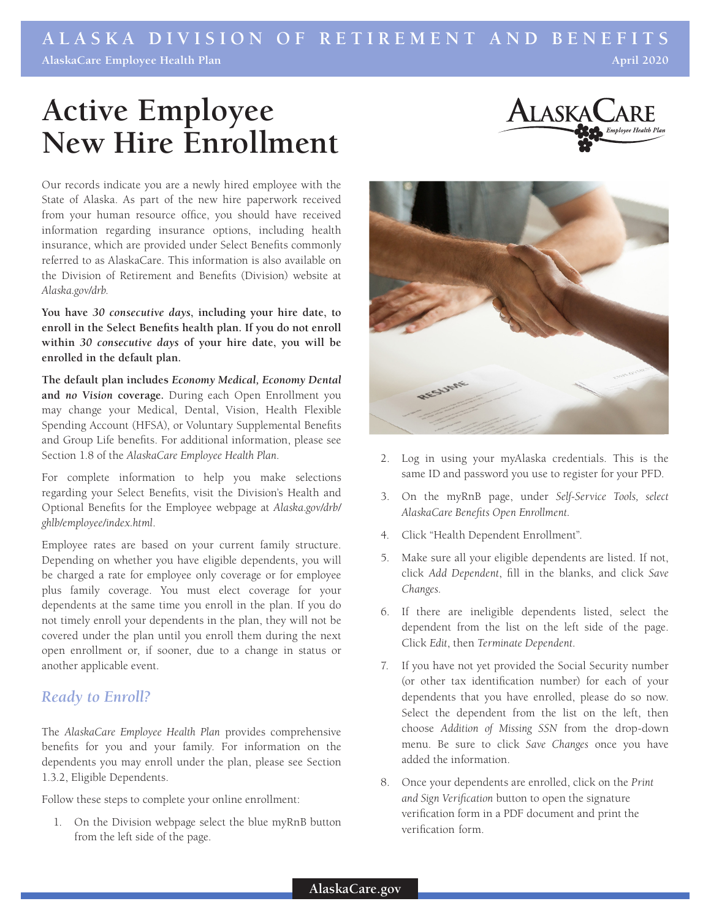## **ALASKA DIVISION OF RETIREMENT AND BENEFITS AlaskaCare Employee Health Plan April 2020**

# **Active Employee New Hire Enrollment**



Our records indicate you are a newly hired employee with the State of Alaska. As part of the new hire paperwork received from your human resource office, you should have received information regarding insurance options, including health insurance, which are provided under Select Benefits commonly referred to as AlaskaCare. This information is also available on the Division of Retirement and Benefits (Division) website at *Alaska.gov/drb*.

**You have** *30 consecutive days***, including your hire date, to enroll in the Select Benefits health plan. If you do not enroll within** *30 consecutive days* **of your hire date, you will be enrolled in the default plan.**

**The default plan includes** *Economy Medical, Economy Dental* **and** *no Vision* **coverage.** During each Open Enrollment you may change your Medical, Dental, Vision, Health Flexible Spending Account (HFSA), or Voluntary Supplemental Benefits and Group Life benefits. For additional information, please see Section 1.8 of the *AlaskaCare Employee Health Plan*.

For complete information to help you make selections regarding your Select Benefits, visit the Division's Health and Optional Benefits for the Employee webpage at *Alaska.gov/drb/ ghlb/employee/index.html*.

Employee rates are based on your current family structure. Depending on whether you have eligible dependents, you will be charged a rate for employee only coverage or for employee plus family coverage. You must elect coverage for your dependents at the same time you enroll in the plan. If you do not timely enroll your dependents in the plan, they will not be covered under the plan until you enroll them during the next open enrollment or, if sooner, due to a change in status or another applicable event.

### *Ready to Enroll?*

The *AlaskaCare Employee Health Plan* provides comprehensive benefits for you and your family. For information on the dependents you may enroll under the plan, please see Section 1.3.2, Eligible Dependents.

Follow these steps to complete your online enrollment:

1. On the Division webpage select the blue myRnB button verification form.<br>
from the left side of the page.



- 2. Log in using your myAlaska credentials. This is the same ID and password you use to register for your PFD.
- 3. On the myRnB page, under *Self-Service Tools, select AlaskaCare Benefits Open Enrollment.*
- 4. Click "Health Dependent Enrollment".
- 5. Make sure all your eligible dependents are listed. If not, click *Add Dependent*, fill in the blanks, and click *Save Changes*.
- 6. If there are ineligible dependents listed, select the dependent from the list on the left side of the page. Click *Edit*, then *Terminate Dependent*.
- 7. If you have not yet provided the Social Security number (or other tax identification number) for each of your dependents that you have enrolled, please do so now. Select the dependent from the list on the left, then choose *Addition of Missing SSN* from the drop-down menu. Be sure to click *Save Changes* once you have added the information.
- 8. Once your dependents are enrolled, click on the *Print and Sign Verification* button to open the signature verification form in a PDF document and print the